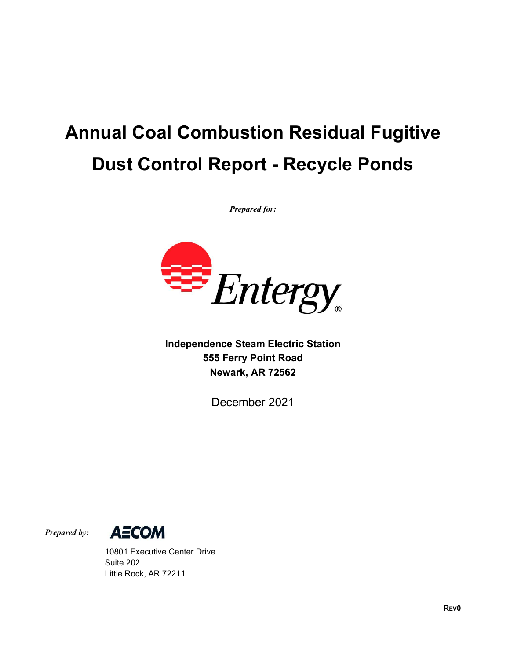# Annual Coal Combustion Residual Fugitive Dust Control Report - Recycle Ponds

Prepared for:



Independence Steam Electric Station 555 Ferry Point Road Newark, AR 72562

December 2021



 10801 Executive Center Drive Suite 202 Little Rock, AR 72211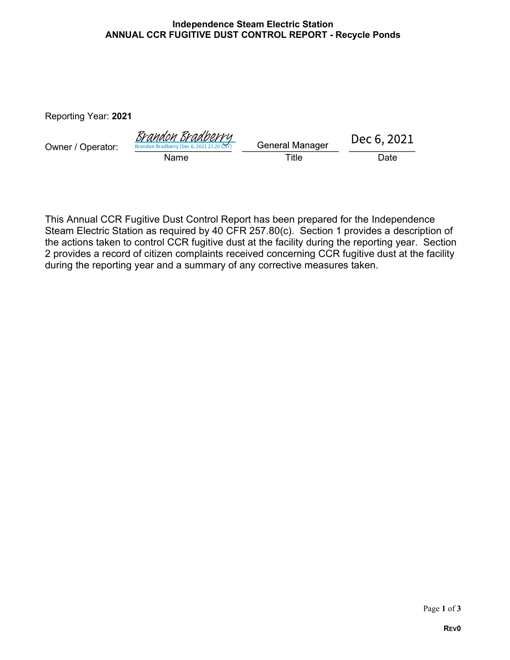#### Independence Steam Electric Station ANNUAL CCR FUGITIVE DUST CONTROL REPORT - Recycle Ponds

Reporting Year: 2021

| Owner / Operator: | <u>Brandon Bradberry</u><br>Brandon Bradberry (Dec 6, 2021 21:20 CST) | <b>General Manager</b> | Dec 6, 2021 |  |
|-------------------|-----------------------------------------------------------------------|------------------------|-------------|--|
|                   | Name                                                                  | $\tau$ itle            | Date        |  |

This Annual CCR Fugitive Dust Control Report has been prepared for the Independence Steam Electric Station as required by 40 CFR 257.80(c). Section 1 provides a description of the actions taken to control CCR fugitive dust at the facility during the reporting year. Section 2 provides a record of citizen complaints received concerning CCR fugitive dust at the facility during the reporting year and a summary of any corrective measures taken.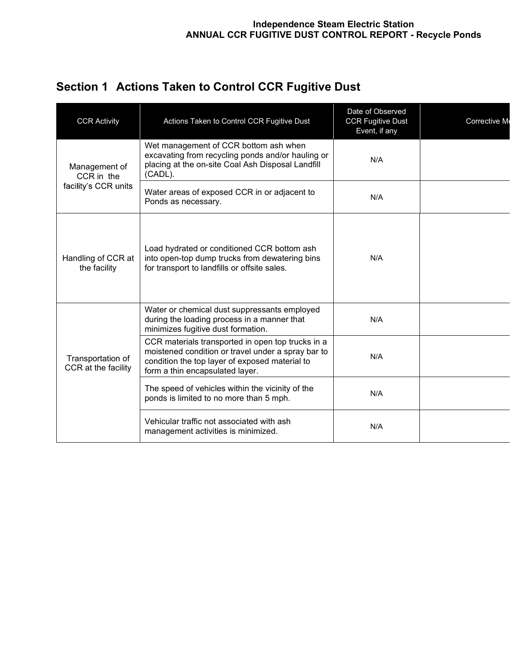| Section 1 Actions Taken to Control CCR Fugitive Dust |  |
|------------------------------------------------------|--|
|------------------------------------------------------|--|

| <b>CCR Activity</b>                                 | Actions Taken to Control CCR Fugitive Dust                                                                                                                                                   | Date of Observed<br><b>CCR Fugitive Dust</b><br>Event, if any | Corrective M |
|-----------------------------------------------------|----------------------------------------------------------------------------------------------------------------------------------------------------------------------------------------------|---------------------------------------------------------------|--------------|
| Management of<br>CCR in the<br>facility's CCR units | Wet management of CCR bottom ash when<br>excavating from recycling ponds and/or hauling or<br>placing at the on-site Coal Ash Disposal Landfill<br>(CADL).                                   | N/A                                                           |              |
|                                                     | Water areas of exposed CCR in or adjacent to<br>Ponds as necessary.                                                                                                                          | N/A                                                           |              |
| Handling of CCR at<br>the facility                  | Load hydrated or conditioned CCR bottom ash<br>into open-top dump trucks from dewatering bins<br>for transport to landfills or offsite sales.                                                | N/A                                                           |              |
|                                                     | Water or chemical dust suppressants employed<br>during the loading process in a manner that<br>minimizes fugitive dust formation.                                                            | N/A                                                           |              |
| Transportation of<br>CCR at the facility            | CCR materials transported in open top trucks in a<br>moistened condition or travel under a spray bar to<br>condition the top layer of exposed material to<br>form a thin encapsulated layer. | N/A                                                           |              |
|                                                     | The speed of vehicles within the vicinity of the<br>ponds is limited to no more than 5 mph.                                                                                                  | N/A                                                           |              |
|                                                     | Vehicular traffic not associated with ash<br>management activities is minimized.                                                                                                             | N/A                                                           |              |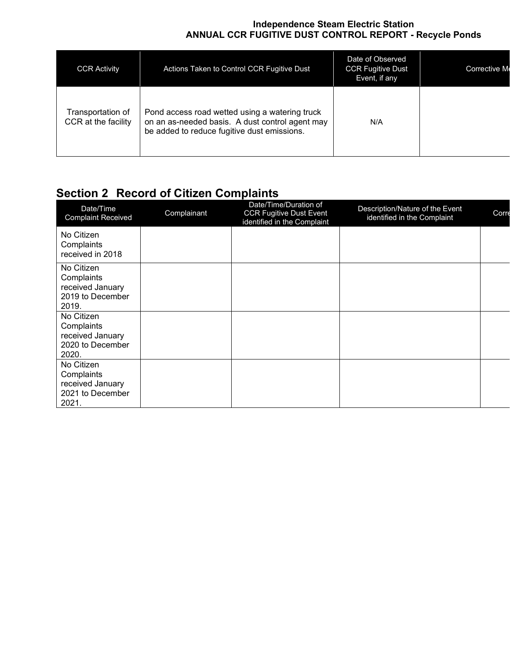#### Independence Steam Electric Station ANNUAL CCR FUGITIVE DUST CONTROL REPORT - Recycle Ponds

| <b>CCR Activity</b>                      | Actions Taken to Control CCR Fugitive Dust                                                                                                       | Date of Observed<br><b>CCR Fugitive Dust</b><br>Event, if any | Corrective M |
|------------------------------------------|--------------------------------------------------------------------------------------------------------------------------------------------------|---------------------------------------------------------------|--------------|
| Transportation of<br>CCR at the facility | Pond access road wetted using a watering truck<br>on an as-needed basis. A dust control agent may<br>be added to reduce fugitive dust emissions. | N/A                                                           |              |

### **Section 2 Record of Citizen Complaints**

| Date/Time<br><b>Complaint Received</b>                                    | Complainant | Date/Time/Duration of<br><b>CCR Fugitive Dust Event</b><br>identified in the Complaint | Description/Nature of the Event<br>identified in the Complaint | Corre |
|---------------------------------------------------------------------------|-------------|----------------------------------------------------------------------------------------|----------------------------------------------------------------|-------|
| No Citizen<br>Complaints<br>received in 2018                              |             |                                                                                        |                                                                |       |
| No Citizen<br>Complaints<br>received January<br>2019 to December<br>2019. |             |                                                                                        |                                                                |       |
| No Citizen<br>Complaints<br>received January<br>2020 to December<br>2020. |             |                                                                                        |                                                                |       |
| No Citizen<br>Complaints<br>received January<br>2021 to December<br>2021. |             |                                                                                        |                                                                |       |